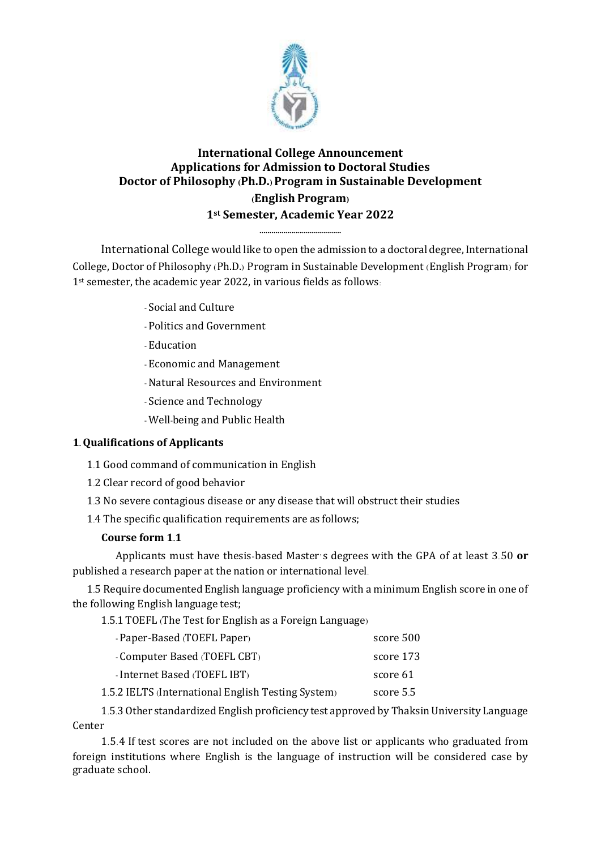

# **International College Announcement Applications for Admission to Doctoral Studies Doctor of Philosophy (Ph.D.) Program in Sustainable Development (English Program) 1st Semester, Academic Year 2022**

**.........................................**

International College would like to open the admission to a doctoral degree, International College, Doctor of Philosophy (Ph.D.) Program in Sustainable Development (English Program) for 1st semester, the academic year 2022, in various fields as follows:

- Social and Culture
- Politics and Government
- Education
- Economic and Management
- -Natural Resources and Environment
- Science and Technology
- Well-being and Public Health

# **1. Qualifications of Applicants**

- 1.1 Good command of communication in English
- 1.2 Clear record of good behavior
- 1.3 No severe contagious disease or any disease that will obstruct their studies
- 1.4 The specific qualification requirements are as follows;

# **Course form 1.1**

Applicants must have thesis-based Master's degrees with the GPA of at least 3.50 **or**  published a research paper at the nation or international level.

1.5 Require documented English language proficiency with a minimum English score in one of the following English language test;

1.5.1 TOEFL (The Test for English as a Foreign Language)

| - Paper-Based (TOEFL Paper)                        | score 500 |
|----------------------------------------------------|-----------|
| - Computer Based (TOEFL CBT)                       | score 173 |
| - Internet Based (TOEFL IBT)                       | score 61  |
| 1.5.2 IELTS (International English Testing System) | score 5.5 |

1.5.3 Other standardized English proficiency test approved by ThaksinUniversity Language Center

1.5.4 If test scores are not included on the above list or applicants who graduated from foreign institutions where English is the language of instruction will be considered case by graduate school.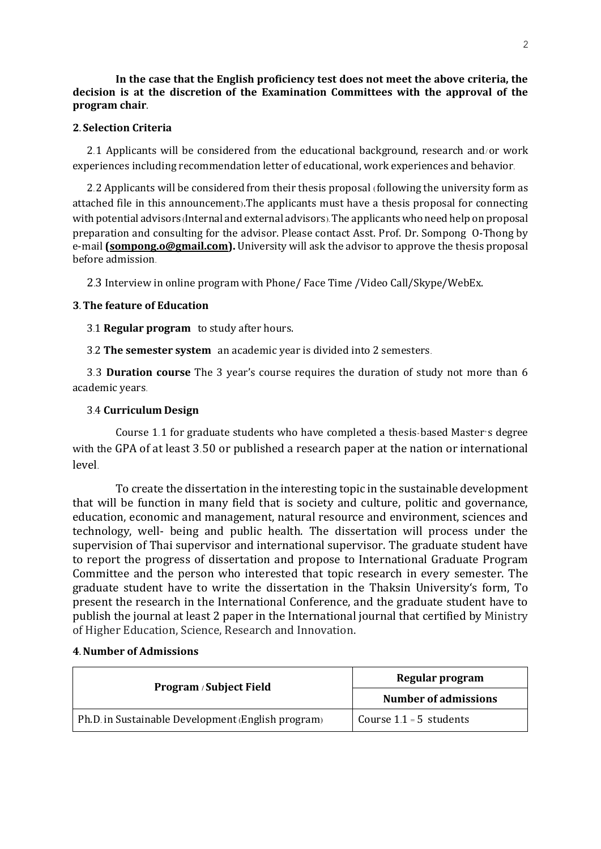**In the case that the English proficiency test does not meet the above criteria, the decision is at the discretion of the Examination Committees with the approval of the program chair.**

### **2. Selection Criteria**

2.1 Applicants will be considered from the educational background, research and/or work experiences including recommendation letter of educational, work experiences and behavior.

2.2 Applicants will be considered from their thesis proposal (following the university form as attached file in this announcement).The applicants must have a thesis proposal for connecting with potential advisors (Internal and external advisors). The applicants who need help on proposal preparation and consulting for the advisor. Please contact Asst. Prof. Dr. Sompong O-Thong by e-mail **[\(sompong.o@gmail.com\)](mailto:sompong.o@gmail.com).** University will ask the advisor to approve the thesis proposal before admission.

2.3 Interview in online program with Phone/ Face Time /Video Call/Skype/WebEx.

### **3. The feature of Education**

3.1 **Regular program** to study after hours.

3.2 **The semester system** an academic year is divided into 2 semesters.

3.3 **Duration course** The 3 year's course requires the duration of study not more than 6 academic years.

#### 3.4 **Curriculum Design**

Course 1.1 for graduate students who have completed a thesis-based Master's degree with the GPA of at least 3.50 or published a research paper at the nation or international level.

To create the dissertation in the interesting topic in the sustainable development that will be function in many field that is society and culture, politic and governance, education, economic and management, natural resource and environment, sciences and technology, well- being and public health. The dissertation will process under the supervision of Thai supervisor and international supervisor. The graduate student have to report the progress of dissertation and propose to International Graduate Program Committee and the person who interested that topic research in every semester. The graduate student have to write the dissertation in the Thaksin University's form, To present the research in the International Conference, and the graduate student have to publish the journal at least 2 paper in the International journal that certified by Ministry of Higher Education, Science, Research and Innovation.

| Program / Subject Field                            | Regular program             |  |
|----------------------------------------------------|-----------------------------|--|
|                                                    | <b>Number of admissions</b> |  |
| Ph.D. in Sustainable Development (English program) | Course $1.1 = 5$ students   |  |

#### **4. Number of Admissions**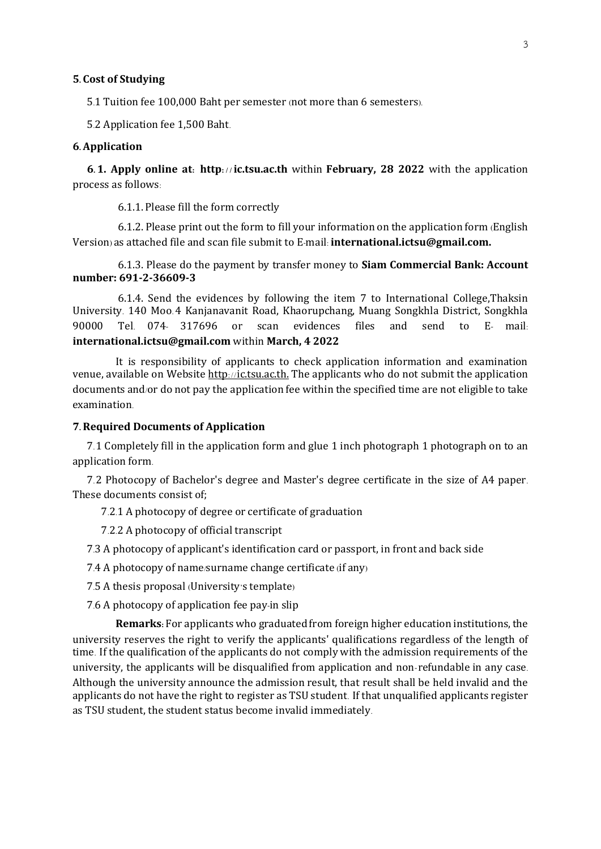#### **5. Cost of Studying**

5.1 Tuition fee 100,000 Baht per semester (not more than 6 semesters).

5.2 Application fee 1,500 Baht.

#### **6. Application**

**6. 1. Apply online at: http: / / ic.tsu.ac.th** within **February, 28 2022** with the application process as follows:

6.1.1. Please fill the form correctly

6.1.2. Please print out the form to fill your information on the application form (English Version) as attached file and scan file submit to E-mail: **international.ictsu@gmail.com.**

6.1.3. Please do the payment by transfer money to **Siam Commercial Bank: Account number: 691-2-36609-3** 

6.1.4. Send the evidences by following the item 7 to International College,Thaksin University. 140 Moo.4 Kanjanavanit Road, Khaorupchang, Muang Songkhla District, Songkhla 90000 Tel. 074- 317696 or scan evidences files and send to E- mail: **international.ictsu@gmail.com** within **March, 4 2022**

It is responsibility of applicants to check application information and examination venue, available on Website [http](http://admission.tsu.ac.th/)://ic.tsu.ac.th. The applicants who do not submit the application documents and/or do not pay the application fee within the specified time are not eligible to take examination.

#### **7. Required Documents of Application**

7.1 Completely fill in the application form and glue 1 inch photograph 1 photograph on to an application form.

7.2 Photocopy of Bachelor's degree and Master's degree certificate in the size of A4 paper. These documents consist of;

7.2.1 A photocopy of degree or certificate of graduation

7.2.2 A photocopy of official transcript

7.3 A photocopy of applicant's identification card or passport, in front and back side

7.4 A photocopy of name/surname change certificate (if any)

7.5 A thesis proposal (University's template)

7.6 A photocopy of application fee pay-in slip

**Remarks:** For applicants who graduated from foreign higher education institutions, the university reserves the right to verify the applicants' qualifications regardless of the length of time. If the qualification of the applicants do not comply with the admission requirements of the university, the applicants will be disqualified from application and non-refundable in any case. Although the university announce the admission result, that result shall be held invalid and the applicants do not have the right to register as TSU student. If that unqualified applicants register as TSU student, the student status become invalid immediately.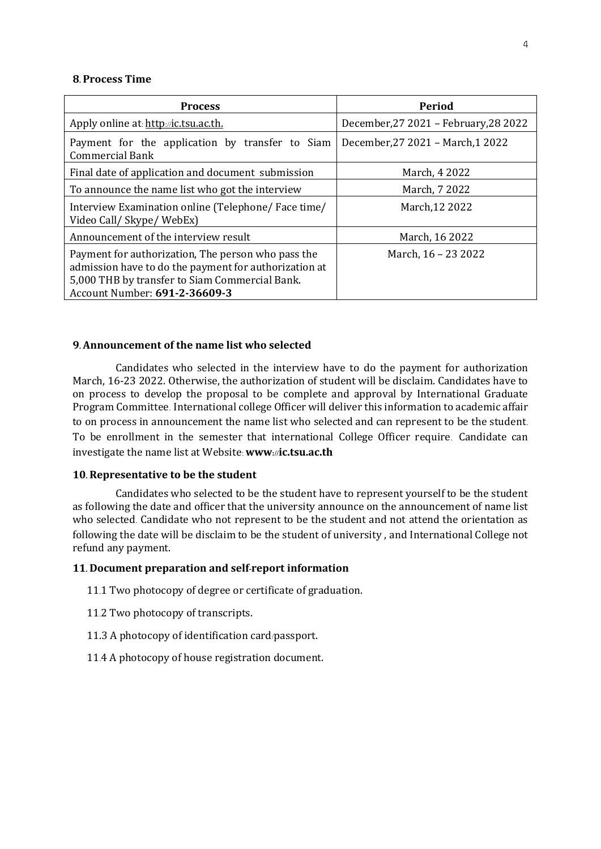#### **8. Process Time**

| <b>Process</b>                                                                                                                                                                                 | Period                                |
|------------------------------------------------------------------------------------------------------------------------------------------------------------------------------------------------|---------------------------------------|
| Apply online at: http://ic.tsu.ac.th.                                                                                                                                                          | December, 27 2021 - February, 28 2022 |
| Payment for the application by transfer to Siam<br><b>Commercial Bank</b>                                                                                                                      | December, 27 2021 - March, 1 2022     |
| Final date of application and document submission                                                                                                                                              | March, 4 2022                         |
| To announce the name list who got the interview                                                                                                                                                | March, 7 2022                         |
| Interview Examination online (Telephone/Face time/<br>Video Call/ Skype/ WebEx)                                                                                                                | March, 12 2022                        |
| Announcement of the interview result                                                                                                                                                           | March, 16 2022                        |
| Payment for authorization, The person who pass the<br>admission have to do the payment for authorization at<br>5,000 THB by transfer to Siam Commercial Bank.<br>Account Number: 691-2-36609-3 | March, 16 - 23 2022                   |

#### **9. Announcement of the name list who selected**

Candidates who selected in the interview have to do the payment for authorization March, 16-23 2022. Otherwise, the authorization of student will be disclaim. Candidates have to on process to develop the proposal to be complete and approval by International Graduate Program Committee. International college Officer will deliver this information to academic affair to on process in announcement the name list who selected and can represent to be the student. To be enrollment in the semester that international College Officer require. Candidate can investigate the name list at Website: **www://ic.tsu.ac.th**

#### **10. Representative to be the student**

Candidates who selected to be the student have to represent yourself to be the student as following the date and officer that the university announce on the announcement of name list who selected. Candidate who not represent to be the student and not attend the orientation as following the date will be disclaim to be the student of university , and International College not refund any payment.

### **11. Document preparation and self-report information**

- 11.1 Two photocopy of degree or certificate of graduation.
- 11.2 Two photocopy of transcripts.
- 11.3 A photocopy of identification card/passport.
- 11.4 A photocopy of house registration document.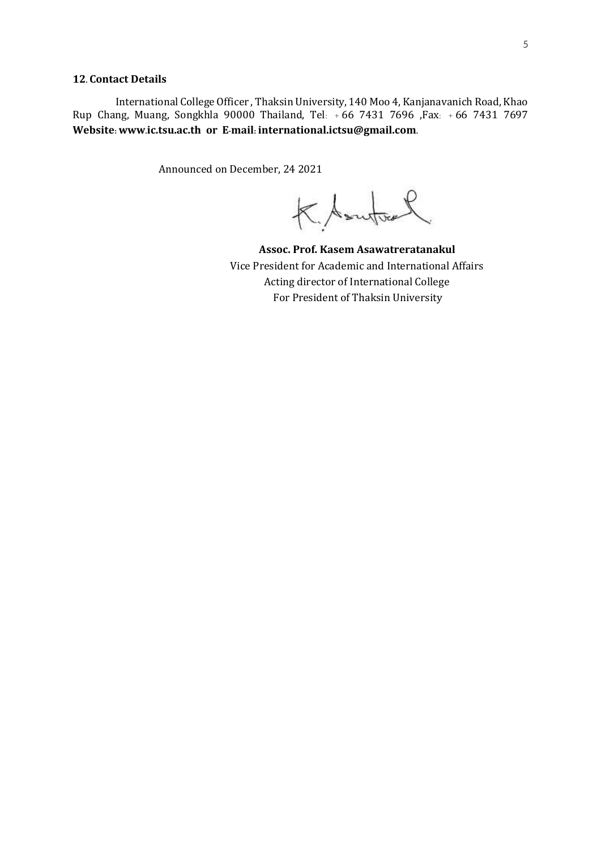#### **12. Contact Details**

International College Officer , Thaksin University, 140 Moo 4, Kanjanavanich Road, Khao Rup Chang, Muang, Songkhla 90000 Thailand, Tel: + 66 7431 7696 ,Fax: + 66 7431 7697 **Website: www.ic.tsu.ac.th or E-mail: international.ictsu@gmail.com.**

Announced on December, 24 2021

K Soutout

**Assoc. Prof. Kasem Asawatreratanakul**  Vice President for Academic and International Affairs Acting director of International College For President of Thaksin University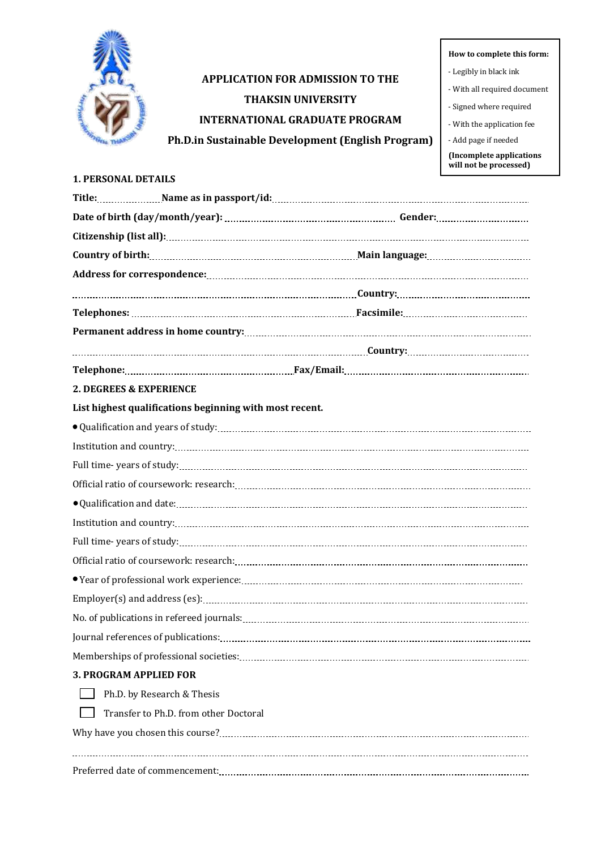

# **APPLICATION FOR ADMISSION TO THE THAKSIN UNIVERSITY INTERNATIONAL GRADUATE PROGRAM Ph.D.in Sustainable Development (English Program)**

6 **How to complete this form:**

- Legibly in black ink
- With all required document
- Signed where required
- With the application fee
- Add page if needed

**(Incomplete applications will not be processed)**

### **1. PERSONAL DETAILS**

|                                                         | Title: Mame as in passport/id: Mame as in passport/id: Manual Assemble Manual Assemble Manual Assemble Manual                                                                                                                                                                                                                                                                                                                                                                                                                                                                                                                                    |
|---------------------------------------------------------|--------------------------------------------------------------------------------------------------------------------------------------------------------------------------------------------------------------------------------------------------------------------------------------------------------------------------------------------------------------------------------------------------------------------------------------------------------------------------------------------------------------------------------------------------------------------------------------------------------------------------------------------------|
|                                                         |                                                                                                                                                                                                                                                                                                                                                                                                                                                                                                                                                                                                                                                  |
|                                                         |                                                                                                                                                                                                                                                                                                                                                                                                                                                                                                                                                                                                                                                  |
|                                                         |                                                                                                                                                                                                                                                                                                                                                                                                                                                                                                                                                                                                                                                  |
|                                                         |                                                                                                                                                                                                                                                                                                                                                                                                                                                                                                                                                                                                                                                  |
|                                                         |                                                                                                                                                                                                                                                                                                                                                                                                                                                                                                                                                                                                                                                  |
|                                                         |                                                                                                                                                                                                                                                                                                                                                                                                                                                                                                                                                                                                                                                  |
|                                                         |                                                                                                                                                                                                                                                                                                                                                                                                                                                                                                                                                                                                                                                  |
|                                                         |                                                                                                                                                                                                                                                                                                                                                                                                                                                                                                                                                                                                                                                  |
|                                                         | Telephone: material contract and contract and contract and contract and contract and contract and contract and contract and contract and contract and contract and contract and contract and contract and contract and contrac                                                                                                                                                                                                                                                                                                                                                                                                                   |
| 2. DEGREES & EXPERIENCE                                 |                                                                                                                                                                                                                                                                                                                                                                                                                                                                                                                                                                                                                                                  |
| List highest qualifications beginning with most recent. |                                                                                                                                                                                                                                                                                                                                                                                                                                                                                                                                                                                                                                                  |
|                                                         |                                                                                                                                                                                                                                                                                                                                                                                                                                                                                                                                                                                                                                                  |
|                                                         |                                                                                                                                                                                                                                                                                                                                                                                                                                                                                                                                                                                                                                                  |
|                                                         |                                                                                                                                                                                                                                                                                                                                                                                                                                                                                                                                                                                                                                                  |
|                                                         |                                                                                                                                                                                                                                                                                                                                                                                                                                                                                                                                                                                                                                                  |
|                                                         |                                                                                                                                                                                                                                                                                                                                                                                                                                                                                                                                                                                                                                                  |
|                                                         | $Institution and country: \underline{\hspace{1cm}} \underline{\hspace{1cm}} \underline{\hspace{1cm}} \underline{\hspace{1cm}} \underline{\hspace{1cm}} \underline{\hspace{1cm}} \underline{\hspace{1cm}} \underline{\hspace{1cm}} \underline{\hspace{1cm}} \underline{\hspace{1cm}} \underline{\hspace{1cm}} \underline{\hspace{1cm}} \underline{\hspace{1cm}} \underline{\hspace{1cm}} \underline{\hspace{1cm}} \underline{\hspace{1cm}} \underline{\hspace{1cm}} \underline{\hspace{1cm}} \underline{\hspace{1cm}} \underline{\hspace{1cm}} \underline{\hspace{1cm}} \underline{\hspace{1cm}} \underline{\hspace{1cm}} \underline{\hspace{1cm$ |
|                                                         |                                                                                                                                                                                                                                                                                                                                                                                                                                                                                                                                                                                                                                                  |
|                                                         |                                                                                                                                                                                                                                                                                                                                                                                                                                                                                                                                                                                                                                                  |
|                                                         |                                                                                                                                                                                                                                                                                                                                                                                                                                                                                                                                                                                                                                                  |
|                                                         |                                                                                                                                                                                                                                                                                                                                                                                                                                                                                                                                                                                                                                                  |
|                                                         |                                                                                                                                                                                                                                                                                                                                                                                                                                                                                                                                                                                                                                                  |
|                                                         |                                                                                                                                                                                                                                                                                                                                                                                                                                                                                                                                                                                                                                                  |
|                                                         |                                                                                                                                                                                                                                                                                                                                                                                                                                                                                                                                                                                                                                                  |
| <b>3. PROGRAM APPLIED FOR</b>                           |                                                                                                                                                                                                                                                                                                                                                                                                                                                                                                                                                                                                                                                  |
| Ph.D. by Research & Thesis                              |                                                                                                                                                                                                                                                                                                                                                                                                                                                                                                                                                                                                                                                  |
| Transfer to Ph.D. from other Doctoral                   |                                                                                                                                                                                                                                                                                                                                                                                                                                                                                                                                                                                                                                                  |
|                                                         |                                                                                                                                                                                                                                                                                                                                                                                                                                                                                                                                                                                                                                                  |
|                                                         |                                                                                                                                                                                                                                                                                                                                                                                                                                                                                                                                                                                                                                                  |

Preferred date of commencement: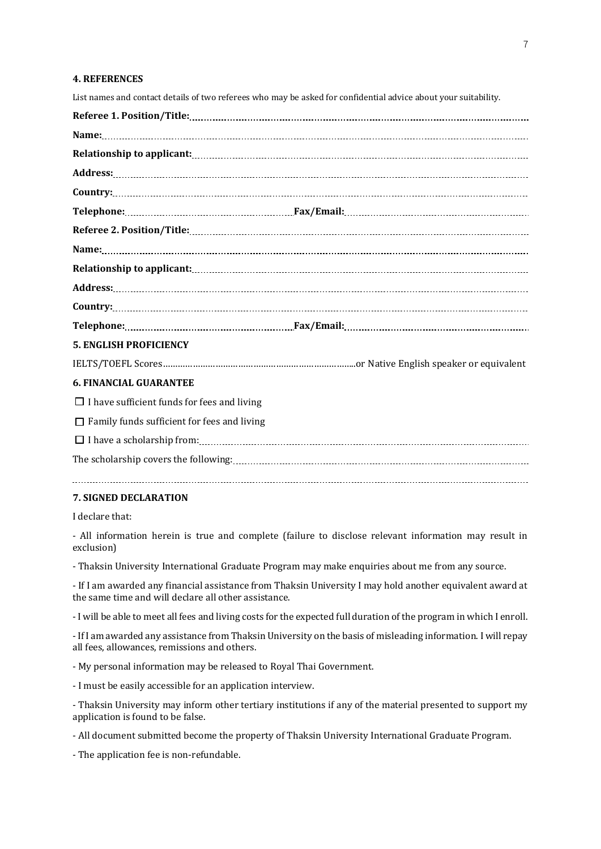#### **4. REFERENCES**

List names and contact details of two referees who may be asked for confidential advice about your suitability.

|                                                    | $Country: \begin{tabular}{@{}c@{}} \hline \textbf{Country:} & \textbf{3.5} & \textbf{5.6} & \textbf{6.7} & \textbf{7.8} & \textbf{8.8} & \textbf{9.8} & \textbf{1.9} & \textbf{1.9} & \textbf{1.9} & \textbf{1.9} & \textbf{1.9} & \textbf{1.9} & \textbf{1.9} & \textbf{1.9} & \textbf{1.9} & \textbf{1.9} & \textbf{1.9} & \textbf{1.9} & \textbf{1.9} & \textbf{1.9} & \textbf{1.9} & \textbf{1.$ |
|----------------------------------------------------|------------------------------------------------------------------------------------------------------------------------------------------------------------------------------------------------------------------------------------------------------------------------------------------------------------------------------------------------------------------------------------------------------|
|                                                    |                                                                                                                                                                                                                                                                                                                                                                                                      |
| <b>5. ENGLISH PROFICIENCY</b>                      |                                                                                                                                                                                                                                                                                                                                                                                                      |
|                                                    |                                                                                                                                                                                                                                                                                                                                                                                                      |
| <b>6. FINANCIAL GUARANTEE</b>                      |                                                                                                                                                                                                                                                                                                                                                                                                      |
| $\Box$ I have sufficient funds for fees and living |                                                                                                                                                                                                                                                                                                                                                                                                      |
|                                                    |                                                                                                                                                                                                                                                                                                                                                                                                      |

 $\Box$  Family funds sufficient for fees and living

 I have a scholarship from: The scholarship covers the following:

#### **7. SIGNED DECLARATION**

I declare that:

- All information herein is true and complete (failure to disclose relevant information may result in exclusion)

- Thaksin University International Graduate Program may make enquiries about me from any source.

- If I am awarded any financial assistance from Thaksin University I may hold another equivalent award at the same time and will declare all other assistance.

- I will be able to meet all fees and living costs for the expected full duration of the program in which I enroll.

- If I am awarded any assistance from Thaksin University on the basis of misleading information. I will repay all fees, allowances, remissions and others.

- My personal information may be released to Royal Thai Government.

- I must be easily accessible for an application interview.

- Thaksin University may inform other tertiary institutions if any of the material presented to support my application is found to be false.

- All document submitted become the property of Thaksin University International Graduate Program.

- The application fee is non-refundable.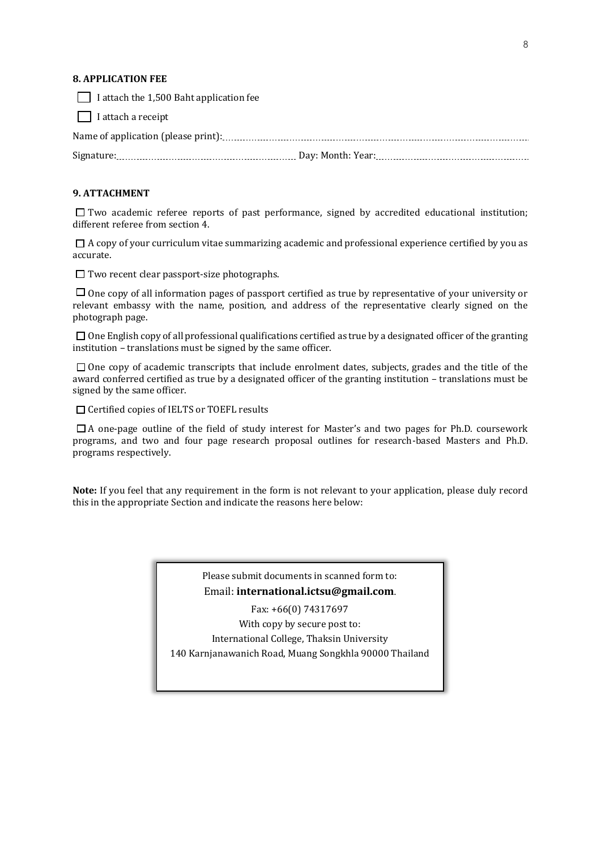#### **8. APPLICATION FEE**

| $\Box$ I attach a receipt                      |  |
|------------------------------------------------|--|
| $\Box$ I attach the 1,500 Baht application fee |  |

#### **9. ATTACHMENT**

 $\Box$  Two academic referee reports of past performance, signed by accredited educational institution; different referee from section 4.

 $\Box$  A copy of your curriculum vitae summarizing academic and professional experience certified by you as accurate.

 $\square$  Two recent clear passport-size photographs.

 $\Box$  One copy of all information pages of passport certified as true by representative of your university or relevant embassy with the name, position, and address of the representative clearly signed on the photograph page.

 $\Box$  One English copy of all professional qualifications certified as true by a designated officer of the granting institution – translations must be signed by the same officer.

 $\square$  One copy of academic transcripts that include enrolment dates, subjects, grades and the title of the award conferred certified as true by a designated officer of the granting institution – translations must be signed by the same officer.

□ Certified copies of IELTS or TOEFL results

 $\Box$  A one-page outline of the field of study interest for Master's and two pages for Ph.D. coursework programs, and two and four page research proposal outlines for research-based Masters and Ph.D. programs respectively.

**Note:** If you feel that any requirement in the form is not relevant to your application, please duly record this in the appropriate Section and indicate the reasons here below:

> Please submit documents in scanned form to: Email: **international.ictsu@gmail.com.**

Fax: +66(0) 74317697 With copy by secure post to: International College, Thaksin University 140 Karnjanawanich Road, Muang Songkhla 90000 Thailand